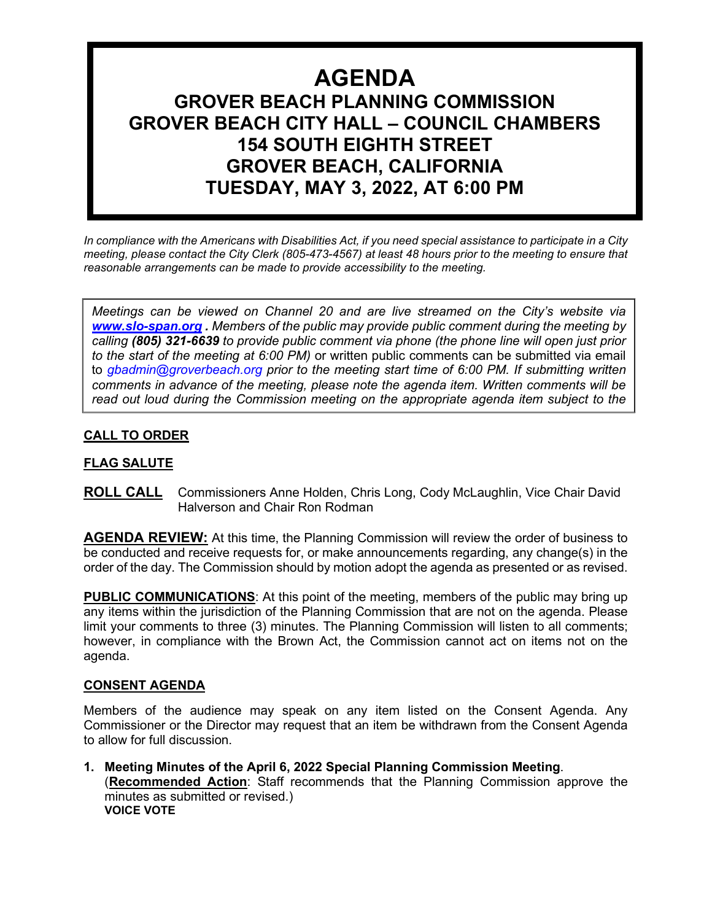# **AGENDA GROVER BEACH PLANNING COMMISSION GROVER BEACH CITY HALL – COUNCIL CHAMBERS 154 SOUTH EIGHTH STREET GROVER BEACH, CALIFORNIA TUESDAY, MAY 3, 2022, AT 6:00 PM**

*In compliance with the Americans with Disabilities Act, if you need special assistance to participate in a City meeting, please contact the City Clerk (805-473-4567) at least 48 hours prior to the meeting to ensure that reasonable arrangements can be made to provide accessibility to the meeting.*

*Meetings can be viewed on Channel 20 and are live streamed on the City's website via [www.slo-span.org](http://www.slo-span.org/) . Members of the public may provide public comment during the meeting by calling (805) 321-6639 to provide public comment via phone (the phone line will open just prior to the start of the meeting at 6:00 PM)* or written public comments can be submitted via email to *gbadmin@groverbeach.org prior to the meeting start time of 6:00 PM. If submitting written comments in advance of the meeting, please note the agenda item. Written comments will be read out loud during the Commission meeting on the appropriate agenda item subject to the* 

# **CALL TO ORDER**

# **FLAG SALUTE**

**ROLL CALL** Commissioners Anne Holden, Chris Long, Cody McLaughlin, Vice Chair David Halverson and Chair Ron Rodman

**AGENDA REVIEW:** At this time, the Planning Commission will review the order of business to be conducted and receive requests for, or make announcements regarding, any change(s) in the order of the day. The Commission should by motion adopt the agenda as presented or as revised.

**PUBLIC COMMUNICATIONS**: At this point of the meeting, members of the public may bring up any items within the jurisdiction of the Planning Commission that are not on the agenda. Please limit your comments to three (3) minutes. The Planning Commission will listen to all comments; however, in compliance with the Brown Act, the Commission cannot act on items not on the agenda.

#### **CONSENT AGENDA**

Members of the audience may speak on any item listed on the Consent Agenda. Any Commissioner or the Director may request that an item be withdrawn from the Consent Agenda to allow for full discussion.

**1. Meeting Minutes of the April 6, 2022 Special Planning Commission Meeting**. (**Recommended Action**: Staff recommends that the Planning Commission approve the minutes as submitted or revised.) **VOICE VOTE**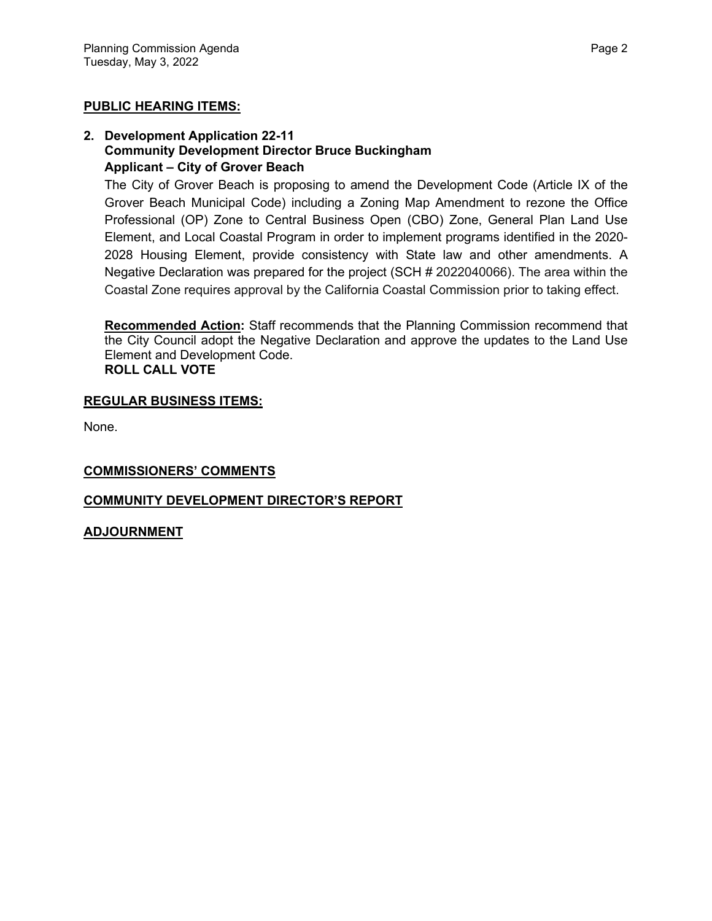## **PUBLIC HEARING ITEMS:**

#### **2. Development Application 22-11 Community Development Director Bruce Buckingham Applicant – City of Grover Beach**

The City of Grover Beach is proposing to amend the Development Code (Article IX of the Grover Beach Municipal Code) including a Zoning Map Amendment to rezone the Office Professional (OP) Zone to Central Business Open (CBO) Zone, General Plan Land Use Element, and Local Coastal Program in order to implement programs identified in the 2020- 2028 Housing Element, provide consistency with State law and other amendments. A Negative Declaration was prepared for the project (SCH # 2022040066). The area within the Coastal Zone requires approval by the California Coastal Commission prior to taking effect.

**Recommended Action:** Staff recommends that the Planning Commission recommend that the City Council adopt the Negative Declaration and approve the updates to the Land Use Element and Development Code. **ROLL CALL VOTE**

#### **REGULAR BUSINESS ITEMS:**

None.

#### **COMMISSIONERS' COMMENTS**

## **COMMUNITY DEVELOPMENT DIRECTOR'S REPORT**

#### **ADJOURNMENT**